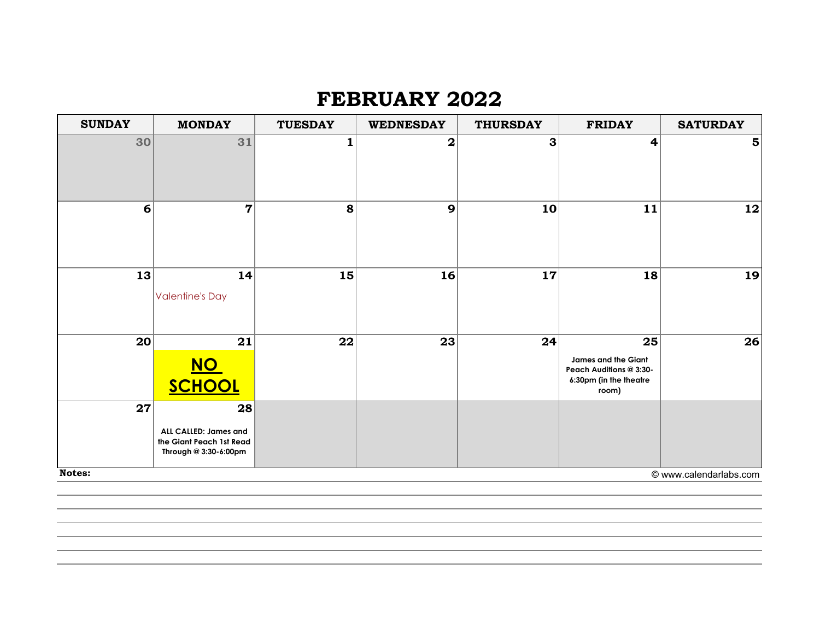## **FEBRUARY 2022**

| 30<br>31<br>3<br>$\mathbf 2$<br>4<br>5 <sub>l</sub><br>1<br>$\overline{7}$<br>8<br>9<br>10<br>11<br>$12 \mid$<br>6<br>13<br>14<br>15<br>16<br>18<br>19<br>17<br><b>Valentine's Day</b><br>20<br>21<br>22<br>23<br>24<br>25<br>James and the Giant<br><u>NO</u><br>Peach Auditions @ 3:30-<br>6:30pm (in the theatre<br>SCHOOL<br>room)<br>27<br>28<br>ALL CALLED: James and<br>the Giant Peach 1st Read<br>Through @ 3:30-6:00pm | <b>SUNDAY</b> | <b>MONDAY</b> | <b>TUESDAY</b> | <b>WEDNESDAY</b> | <b>THURSDAY</b> | <b>FRIDAY</b> | <b>SATURDAY</b>        |
|----------------------------------------------------------------------------------------------------------------------------------------------------------------------------------------------------------------------------------------------------------------------------------------------------------------------------------------------------------------------------------------------------------------------------------|---------------|---------------|----------------|------------------|-----------------|---------------|------------------------|
|                                                                                                                                                                                                                                                                                                                                                                                                                                  |               |               |                |                  |                 |               |                        |
|                                                                                                                                                                                                                                                                                                                                                                                                                                  |               |               |                |                  |                 |               |                        |
|                                                                                                                                                                                                                                                                                                                                                                                                                                  |               |               |                |                  |                 |               |                        |
|                                                                                                                                                                                                                                                                                                                                                                                                                                  |               |               |                |                  |                 |               | 26                     |
|                                                                                                                                                                                                                                                                                                                                                                                                                                  | Notes:        |               |                |                  |                 |               | © www.calendarlabs.com |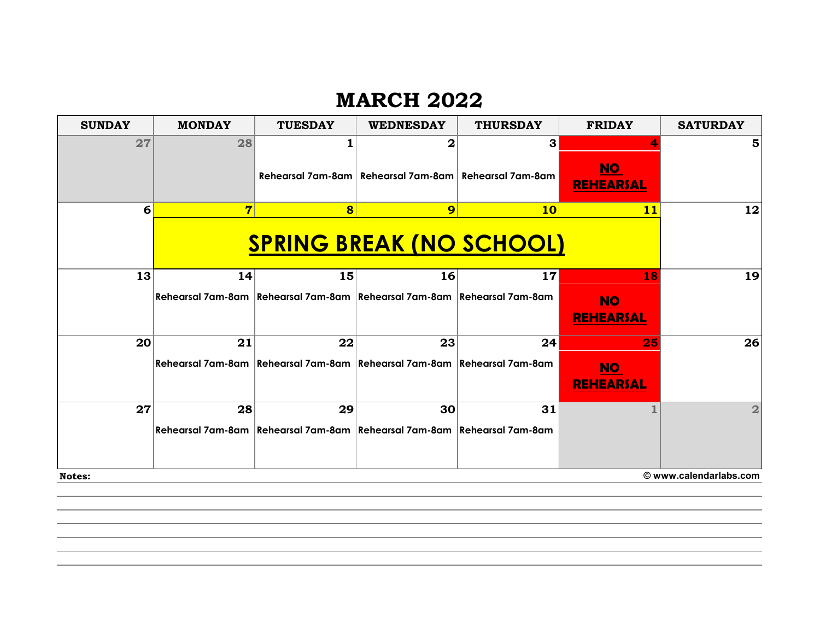## **MARCH 2022**

| <b>SUNDAY</b>                    | <b>MONDAY</b>                   | <b>TUESDAY</b>                                                                | <b>WEDNESDAY</b>                                          | <b>THURSDAY</b> | <b>FRIDAY</b>                 | <b>SATURDAY</b> |
|----------------------------------|---------------------------------|-------------------------------------------------------------------------------|-----------------------------------------------------------|-----------------|-------------------------------|-----------------|
| 27                               | 28                              |                                                                               | 2                                                         | 3               |                               | 5               |
|                                  |                                 |                                                                               | Rehearsal 7am-8am   Rehearsal 7am-8am   Rehearsal 7am-8am |                 | <b>NO</b><br><b>REHEARSAL</b> |                 |
| 6                                | $\overline{7}$                  | 8                                                                             | 9                                                         | 10 <sub>l</sub> | 11                            | 12              |
|                                  | <b>SPRING BREAK (NO SCHOOL)</b> |                                                                               |                                                           |                 |                               |                 |
| 13                               | 14                              | 15                                                                            | 16                                                        | 17              | 18                            | 19              |
|                                  |                                 | Rehearsal 7am-8am   Rehearsal 7am-8am   Rehearsal 7am-8am   Rehearsal 7am-8am |                                                           |                 | <b>NO</b><br><b>REHEARSAL</b> |                 |
| 20                               | 21                              | 22                                                                            | 23                                                        | 24              | 25                            | 26              |
|                                  |                                 | Rehearsal 7am-8am Rehearsal 7am-8am Rehearsal 7am-8am Rehearsal 7am-8am       |                                                           |                 | <b>NO</b><br><b>REHEARSAL</b> |                 |
| 27                               | 28                              | 29                                                                            | 30                                                        | 31              |                               | $\overline{2}$  |
|                                  |                                 | Rehearsal 7am-8am Rehearsal 7am-8am Rehearsal 7am-8am Rehearsal 7am-8am       |                                                           |                 |                               |                 |
| © www.calendarlabs.com<br>Notes: |                                 |                                                                               |                                                           |                 |                               |                 |